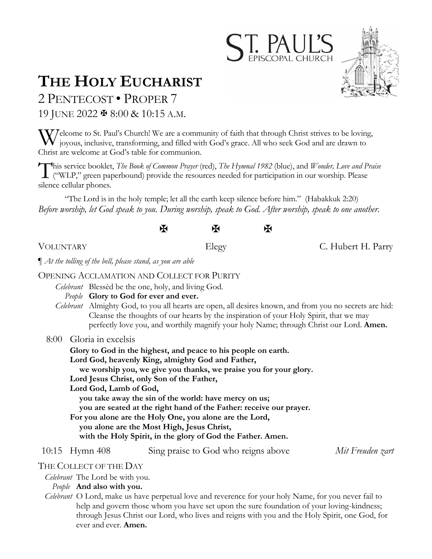



# **THE HOLY EUCHARIST**

2 PENTECOST • PROPER 7

19 JUNE 2022 **₩** 8:00 & 10:15 A.M.

Welcome to St. Paul's Church! We are a community of faith that through Christ strives to be loving, joyous, inclusive, transforming, and filled with God's grace. All who seek God and are drawn to joyous, inclusive, transforming, and filled with God's grace. All who seek God and are drawn to Christ are welcome at God's table for communion.

his service booklet, *The Book of Common Prayer* (red), *The Hymnal 1982* (blue), and *Wonder, Love and Praise*  This service booklet, *The Book of Common Prayer* (red), *The Hymnal 1982* (blue), and *Wonder*, *Love and Pi* ("WLP," green paperbound) provide the resources needed for participation in our worship. Please silence cellular phones.

"The Lord is in the holy temple; let all the earth keep silence before him." (Habakkuk 2:20) *Before worship, let God speak to you. During worship, speak to God. After worship, speak to one another.*



VOLUNTARY Elegy C. Hubert H. Parry

*¶ At the tolling of the bell, please stand, as you are able*

### OPENING ACCLAMATION AND COLLECT FOR PURITY

*Celebrant* Blessèd be the one, holy, and living God.

### *People* **Glory to God for ever and ever.**

*Celebrant* Almighty God, to you all hearts are open, all desires known, and from you no secrets are hid: Cleanse the thoughts of our hearts by the inspiration of your Holy Spirit, that we may perfectly love you, and worthily magnify your holy Name; through Christ our Lord. **Amen.**

8:00 Gloria in excelsis

### **Glory to God in the highest, and peace to his people on earth.**

**Lord God, heavenly King, almighty God and Father,**

**we worship you, we give you thanks, we praise you for your glory.**

### **Lord Jesus Christ, only Son of the Father,**

**Lord God, Lamb of God,**

**you take away the sin of the world: have mercy on us;**

**you are seated at the right hand of the Father: receive our prayer.**

**For you alone are the Holy One, you alone are the Lord,**

**you alone are the Most High, Jesus Christ,** 

**with the Holy Spirit, in the glory of God the Father. Amen.**

10:15 Hymn 408 Sing praise to God who reigns above *Mit Freuden zart*

### THE COLLECT OF THE DAY

*Celebrant* The Lord be with you.

### *People* **And also with you.**

*Celebrant* O Lord, make us have perpetual love and reverence for your holy Name, for you never fail to help and govern those whom you have set upon the sure foundation of your loving-kindness; through Jesus Christ our Lord, who lives and reigns with you and the Holy Spirit, one God, for ever and ever. **Amen.**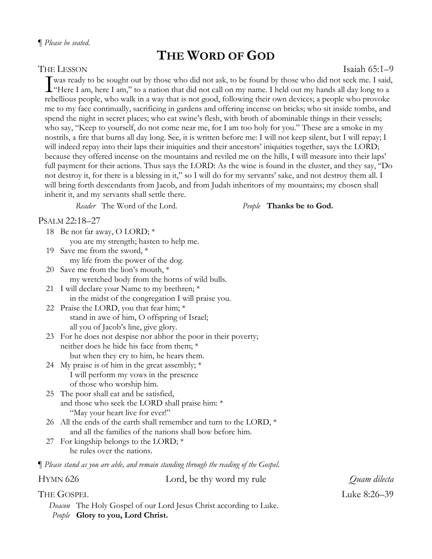#### *¶ Please be seated.*

## **THE WORD OF GOD**

was ready to be sought out by those who did not ask, to be found by those who did not seek me. I said, I was ready to be sought out by those who did not ask, to be found by those who did not seek me. I said "Here I am, here I am," to a nation that did not call on my name. I held out my hands all day long to a rebellious people, who walk in a way that is not good, following their own devices; a people who provoke me to my face continually, sacrificing in gardens and offering incense on bricks; who sit inside tombs, and spend the night in secret places; who eat swine's flesh, with broth of abominable things in their vessels; who say, "Keep to yourself, do not come near me, for I am too holy for you." These are a smoke in my nostrils, a fire that burns all day long. See, it is written before me: I will not keep silent, but I will repay; I will indeed repay into their laps their iniquities and their ancestors' iniquities together, says the LORD; because they offered incense on the mountains and reviled me on the hills, I will measure into their laps' full payment for their actions. Thus says the LORD: As the wine is found in the cluster, and they say, "Do not destroy it, for there is a blessing in it," so I will do for my servants' sake, and not destroy them all. I will bring forth descendants from Jacob, and from Judah inheritors of my mountains; my chosen shall inherit it, and my servants shall settle there.

*Reader* The Word of the Lord. *People* **Thanks be to God.**

#### PSALM 22:18–27

|    | 18 Be not far away, O LORD; *                                                             |                              |
|----|-------------------------------------------------------------------------------------------|------------------------------|
|    | you are my strength; hasten to help me.                                                   |                              |
| 19 | Save me from the sword, *                                                                 |                              |
|    | my life from the power of the dog.                                                        |                              |
|    | 20 Save me from the lion's mouth, *                                                       |                              |
|    | my wretched body from the horns of wild bulls.                                            |                              |
|    | 21 I will declare your Name to my brethren; *                                             |                              |
|    | in the midst of the congregation I will praise you.                                       |                              |
| 22 | Praise the LORD, you that fear him; *                                                     |                              |
|    | stand in awe of him, O offspring of Israel;                                               |                              |
|    | all you of Jacob's line, give glory.                                                      |                              |
| 23 | For he does not despise nor abhor the poor in their poverty;                              |                              |
|    | neither does he hide his face from them; *                                                |                              |
|    | but when they cry to him, he hears them.                                                  |                              |
|    | 24 My praise is of him in the great assembly; *                                           |                              |
|    | I will perform my vows in the presence                                                    |                              |
|    | of those who worship him.                                                                 |                              |
| 25 | The poor shall eat and be satisfied,                                                      |                              |
|    | and those who seek the LORD shall praise him: *                                           |                              |
|    | "May your heart live for ever!"                                                           |                              |
|    | 26 All the ends of the earth shall remember and turn to the LORD, *                       |                              |
|    | and all the families of the nations shall bow before him.                                 |                              |
| 27 | For kingship belongs to the LORD; *                                                       |                              |
|    | he rules over the nations.                                                                |                              |
|    | $\P$ Please stand as you are able, and remain standing through the reading of the Gospel. |                              |
|    | <b>HYMN 626</b><br>Lord, be thy word my rule                                              | Quam dilecta<br>Luke 8:26–39 |
|    | <b>THE GOSPEL</b>                                                                         |                              |
|    |                                                                                           |                              |

*Deacon* The Holy Gospel of our Lord Jesus Christ according to Luke. *People* **Glory to you, Lord Christ.**

THE LESSON ISAIA 65:1–9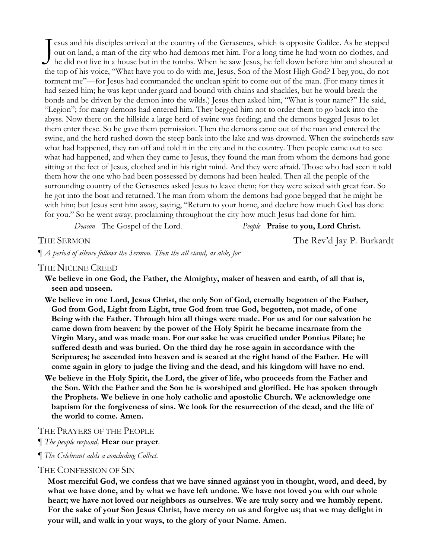esus and his disciples arrived at the country of the Gerasenes, which is opposite Galilee. As he stepped out on land, a man of the city who had demons met him. For a long time he had worn no clothes, and I esus and his disciples arrived at the country of the Gerasenes, which is opposite Galilee. As he stepped out on land, a man of the city who had demons met him. For a long time he had worn no clothes, and he did not live the top of his voice, "What have you to do with me, Jesus, Son of the Most High God? I beg you, do not torment me"—for Jesus had commanded the unclean spirit to come out of the man. (For many times it had seized him; he was kept under guard and bound with chains and shackles, but he would break the bonds and be driven by the demon into the wilds.) Jesus then asked him, "What is your name?" He said, "Legion"; for many demons had entered him. They begged him not to order them to go back into the abyss. Now there on the hillside a large herd of swine was feeding; and the demons begged Jesus to let them enter these. So he gave them permission. Then the demons came out of the man and entered the swine, and the herd rushed down the steep bank into the lake and was drowned. When the swineherds saw what had happened, they ran off and told it in the city and in the country. Then people came out to see what had happened, and when they came to Jesus, they found the man from whom the demons had gone sitting at the feet of Jesus, clothed and in his right mind. And they were afraid. Those who had seen it told them how the one who had been possessed by demons had been healed. Then all the people of the surrounding country of the Gerasenes asked Jesus to leave them; for they were seized with great fear. So he got into the boat and returned. The man from whom the demons had gone begged that he might be with him; but Jesus sent him away, saying, "Return to your home, and declare how much God has done for you." So he went away, proclaiming throughout the city how much Jesus had done for him.

*Deacon* The Gospel of the Lord. *People* **Praise to you, Lord Christ.**

THE SERMON The Rev'd Jay P. Burkardt

*¶ A period of silence follows the Sermon. Then the all stand, as able, for*

#### THE NICENE CREED

- **We believe in one God, the Father, the Almighty, maker of heaven and earth, of all that is, seen and unseen.**
- **We believe in one Lord, Jesus Christ, the only Son of God, eternally begotten of the Father, God from God, Light from Light, true God from true God, begotten, not made, of one Being with the Father. Through him all things were made. For us and for our salvation he came down from heaven: by the power of the Holy Spirit he became incarnate from the Virgin Mary, and was made man. For our sake he was crucified under Pontius Pilate; he suffered death and was buried. On the third day he rose again in accordance with the Scriptures; he ascended into heaven and is seated at the right hand of the Father. He will come again in glory to judge the living and the dead, and his kingdom will have no end.**
- **We believe in the Holy Spirit, the Lord, the giver of life, who proceeds from the Father and the Son. With the Father and the Son he is worshiped and glorified. He has spoken through the Prophets. We believe in one holy catholic and apostolic Church. We acknowledge one baptism for the forgiveness of sins. We look for the resurrection of the dead, and the life of the world to come. Amen.**

#### THE PRAYERS OF THE PEOPLE

*¶ The people respond,* **Hear our prayer***.*

#### *¶ The Celebrant adds a concluding Collect.*

#### THE CONFESSION OF SIN

**Most merciful God, we confess that we have sinned against you in thought, word, and deed, by what we have done, and by what we have left undone. We have not loved you with our whole heart; we have not loved our neighbors as ourselves. We are truly sorry and we humbly repent. For the sake of your Son Jesus Christ, have mercy on us and forgive us; that we may delight in your will, and walk in your ways, to the glory of your Name. Amen**.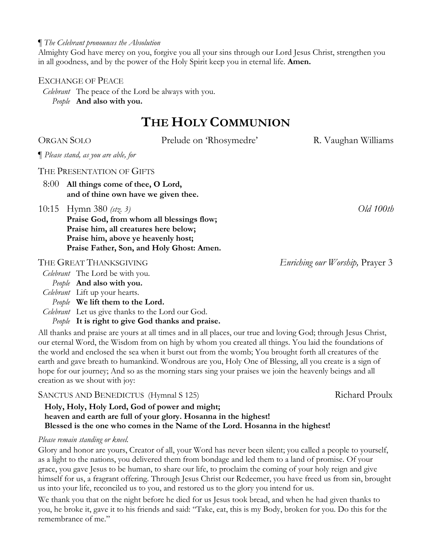#### *¶ The Celebrant pronounces the Absolution*

Almighty God have mercy on you, forgive you all your sins through our Lord Jesus Christ, strengthen you in all goodness, and by the power of the Holy Spirit keep you in eternal life. **Amen.**

#### EXCHANGE OF PEACE

*Celebrant* The peace of the Lord be always with you. *People* **And also with you.**

## **THE HOLY COMMUNION**

*¶ Please stand, as you are able, for*

#### THE PRESENTATION OF GIFTS

- 8:00 **All things come of thee, O Lord, and of thine own have we given thee.**
- 10:15 Hymn 380 *(stz. 3) Old 100th*

**Praise God, from whom all blessings flow; Praise him, all creatures here below; Praise him, above ye heavenly host; Praise Father, Son, and Holy Ghost: Amen.**

*Celebrant* The Lord be with you. *People* **And also with you.**

*Celebrant* Lift up your hearts.

*People* **We lift them to the Lord.**

*Celebrant* Let us give thanks to the Lord our God. *People* **It is right to give God thanks and praise.**

All thanks and praise are yours at all times and in all places, our true and loving God; through Jesus Christ, our eternal Word, the Wisdom from on high by whom you created all things. You laid the foundations of the world and enclosed the sea when it burst out from the womb; You brought forth all creatures of the earth and gave breath to humankind. Wondrous are you, Holy One of Blessing, all you create is a sign of hope for our journey; And so as the morning stars sing your praises we join the heavenly beings and all creation as we shout with joy:

SANCTUS AND BENEDICTUS (Hymnal S 125) Richard Proulx

#### **Holy, Holy, Holy Lord, God of power and might; heaven and earth are full of your glory. Hosanna in the highest! Blessed is the one who comes in the Name of the Lord. Hosanna in the highest!**

#### *Please remain standing or kneel.*

Glory and honor are yours, Creator of all, your Word has never been silent; you called a people to yourself, as a light to the nations, you delivered them from bondage and led them to a land of promise. Of your grace, you gave Jesus to be human, to share our life, to proclaim the coming of your holy reign and give himself for us, a fragrant offering. Through Jesus Christ our Redeemer, you have freed us from sin, brought us into your life, reconciled us to you, and restored us to the glory you intend for us.

We thank you that on the night before he died for us Jesus took bread, and when he had given thanks to you, he broke it, gave it to his friends and said: "Take, eat, this is my Body, broken for you. Do this for the remembrance of me."

THE GREAT THANKSGIVING *Enriching our Worship,* Prayer 3

ORGAN SOLO Prelude on 'Rhosymedre' R. Vaughan Williams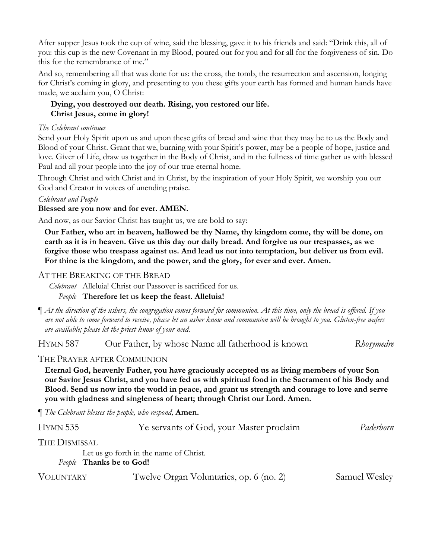After supper Jesus took the cup of wine, said the blessing, gave it to his friends and said: "Drink this, all of you: this cup is the new Covenant in my Blood, poured out for you and for all for the forgiveness of sin. Do this for the remembrance of me."

And so, remembering all that was done for us: the cross, the tomb, the resurrection and ascension, longing for Christ's coming in glory, and presenting to you these gifts your earth has formed and human hands have made, we acclaim you, O Christ:

### **Dying, you destroyed our death. Rising, you restored our life. Christ Jesus, come in glory!**

#### *The Celebrant continues*

Send your Holy Spirit upon us and upon these gifts of bread and wine that they may be to us the Body and Blood of your Christ. Grant that we, burning with your Spirit's power, may be a people of hope, justice and love. Giver of Life, draw us together in the Body of Christ, and in the fullness of time gather us with blessed Paul and all your people into the joy of our true eternal home.

Through Christ and with Christ and in Christ, by the inspiration of your Holy Spirit, we worship you our God and Creator in voices of unending praise.

#### *Celebrant and People*

#### **Blessed are you now and for ever. AMEN.**

And now, as our Savior Christ has taught us, we are bold to say:

**Our Father, who art in heaven, hallowed be thy Name, thy kingdom come, thy will be done, on earth as it is in heaven. Give us this day our daily bread. And forgive us our trespasses, as we forgive those who trespass against us. And lead us not into temptation, but deliver us from evil. For thine is the kingdom, and the power, and the glory, for ever and ever. Amen.**

#### AT THE BREAKING OF THE BREAD

*Celebrant* Alleluia! Christ our Passover is sacrificed for us.

### *People* **Therefore let us keep the feast. Alleluia!**

*¶ At the direction of the ushers, the congregation comes forward for communion. At this time, only the bread is offered. If you are not able to come forward to receive, please let an usher know and communion will be brought to you. Gluten-free wafers are available; please let the priest know of your need.*

HYMN 587 Our Father, by whose Name all fatherhood is known *Rhosymedre*

### THE PRAYER AFTER COMMUNION

**Eternal God, heavenly Father, you have graciously accepted us as living members of your Son our Savior Jesus Christ, and you have fed us with spiritual food in the Sacrament of his Body and Blood. Send us now into the world in peace, and grant us strength and courage to love and serve you with gladness and singleness of heart; through Christ our Lord. Amen.**

*¶ The Celebrant blesses the people, who respond,* **Amen.**

| <b>HYMN</b> 535                                                    | Ye servants of God, your Master proclaim | Paderborn     |  |
|--------------------------------------------------------------------|------------------------------------------|---------------|--|
| THE DISMISSAL                                                      |                                          |               |  |
| Let us go forth in the name of Christ.<br>People Thanks be to God! |                                          |               |  |
| <b>VOLUNTARY</b>                                                   | Twelve Organ Voluntaries, op. 6 (no. 2)  | Samuel Wesley |  |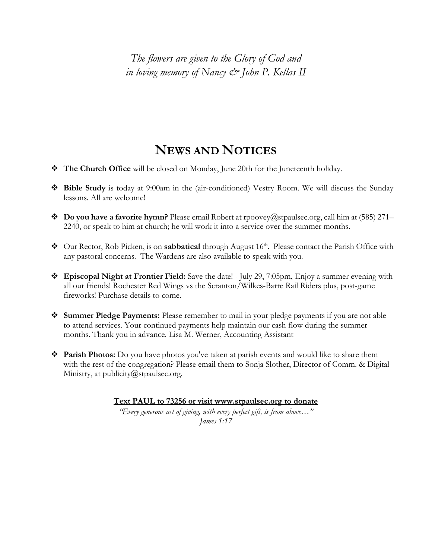*The flowers are given to the Glory of God and in loving memory of Nancy & John P. Kellas II*

## **NEWS AND NOTICES**

- **The Church Office** will be closed on Monday, June 20th for the Juneteenth holiday.
- **Bible Study** is today at 9:00am in the (air-conditioned) Vestry Room. We will discuss the Sunday lessons. All are welcome!
- **Do you have a favorite hymn?** Please email Robert at [rpoovey@stpaulsec.org,](mailto:rpoovey@stpaulsec.org) call him at (585) 271– 2240, or speak to him at church; he will work it into a service over the summer months.
- <sup> $\triangle$ </sup> Our Rector, Rob Picken, is on **sabbatical** through August 16<sup>th</sup>. Please contact the Parish Office with any pastoral concerns. The Wardens are also available to speak with you.
- **Episcopal Night at Frontier Field:** Save the date! July 29, 7:05pm, Enjoy a summer evening with all our friends! Rochester Red Wings vs the Scranton/Wilkes-Barre Rail Riders plus, post-game fireworks! Purchase details to come.
- **Summer Pledge Payments:** Please remember to mail in your pledge payments if you are not able to attend services. Your continued payments help maintain our cash flow during the summer months. Thank you in advance. Lisa M. Werner, Accounting Assistant
- **Parish Photos:** Do you have photos you've taken at parish events and would like to share them with the rest of the congregation? Please email them to Sonja Slother, Director of Comm. & Digital Ministry, at publicity@stpaulsec.org.

**Text PAUL to 73256 or visit [www.stpaulsec.org](http://www.stpaulsec.org/donate) to donate** *"Every generous act of giving, with every perfect gift, is from above…"*

*James 1:17*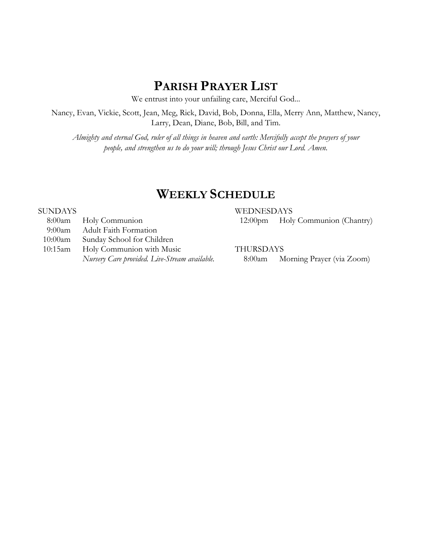## **PARISH PRAYER LIST**

We entrust into your unfailing care, Merciful God...

Nancy, Evan, Vickie, Scott, Jean, Meg, Rick, David, Bob, Donna, Ella, Merry Ann, Matthew, Nancy, Larry, Dean, Diane, Bob, Bill, and Tim.

*Almighty and eternal God, ruler of all things in heaven and earth: Mercifully accept the prayers of your people, and strengthen us to do your will; through Jesus Christ our Lord. Amen.*

## **WEEKLY SCHEDULE**

- 
- 9:00am Adult Faith Formation
- 10:00am Sunday School for Children
- 10:15am Holy Communion with Music THURSDAYS *Nursery Care provided. Live-Stream available.* 8:00am Morning Prayer (via Zoom)

SUNDAYS WEDNESDAYS 8:00am Holy Communion 12:00pm Holy Communion (Chantry)